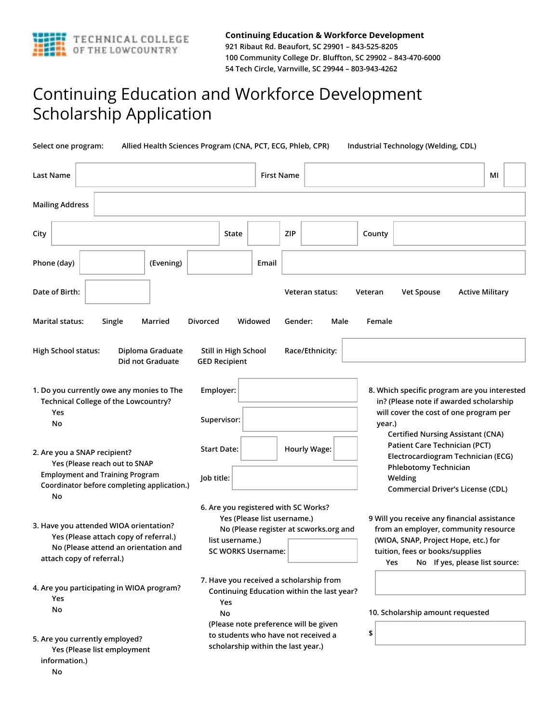

## Continuing Education and Workforce Development Scholarship Application

**Select one program: Allied Health Sciences Program (CNA, PCT, ECG, Phleb, CPR) Industrial Technology (Welding, CDL)** 

| Last Name                                                                                                                                                    |                                                                                                                                                               | <b>First Name</b> |                                                                                                                                |                                                                                                                                                                                                         |                                                                                                                                                                                                 | МΙ                     |  |
|--------------------------------------------------------------------------------------------------------------------------------------------------------------|---------------------------------------------------------------------------------------------------------------------------------------------------------------|-------------------|--------------------------------------------------------------------------------------------------------------------------------|---------------------------------------------------------------------------------------------------------------------------------------------------------------------------------------------------------|-------------------------------------------------------------------------------------------------------------------------------------------------------------------------------------------------|------------------------|--|
| <b>Mailing Address</b>                                                                                                                                       |                                                                                                                                                               |                   |                                                                                                                                |                                                                                                                                                                                                         |                                                                                                                                                                                                 |                        |  |
| City                                                                                                                                                         | State                                                                                                                                                         |                   | <b>ZIP</b>                                                                                                                     | County                                                                                                                                                                                                  |                                                                                                                                                                                                 |                        |  |
| Phone (day)<br>(Evening)                                                                                                                                     |                                                                                                                                                               | Email             |                                                                                                                                |                                                                                                                                                                                                         |                                                                                                                                                                                                 |                        |  |
| Date of Birth:                                                                                                                                               |                                                                                                                                                               |                   | Veteran status:                                                                                                                | Veteran                                                                                                                                                                                                 | <b>Vet Spouse</b>                                                                                                                                                                               | <b>Active Military</b> |  |
| Marital status:<br>Single<br>Married                                                                                                                         | Divorced                                                                                                                                                      | Widowed           | Gender:                                                                                                                        | Male<br>Female                                                                                                                                                                                          |                                                                                                                                                                                                 |                        |  |
| <b>High School status:</b><br>Diploma Graduate<br>Did not Graduate                                                                                           | Still in High School<br><b>GED Recipient</b>                                                                                                                  |                   | Race/Ethnicity:                                                                                                                |                                                                                                                                                                                                         |                                                                                                                                                                                                 |                        |  |
| 1. Do you currently owe any monies to The<br>Technical College of the Lowcountry?<br>Yes<br>No                                                               | Employer:<br>Supervisor:                                                                                                                                      |                   |                                                                                                                                | year.)                                                                                                                                                                                                  | 8. Which specific program are you interested<br>in? (Please note if awarded scholarship<br>will cover the cost of one program per                                                               |                        |  |
| 2. Are you a SNAP recipient?<br>Yes (Please reach out to SNAP<br><b>Employment and Training Program</b><br>Coordinator before completing application.)<br>No | <b>Start Date:</b><br>Job title:                                                                                                                              |                   | <b>Hourly Wage:</b>                                                                                                            |                                                                                                                                                                                                         | <b>Certified Nursing Assistant (CNA)</b><br>Patient Care Technician (PCT)<br>Electrocardiogram Technician (ECG)<br><b>Phlebotomy Technician</b><br>Welding<br>Commercial Driver's License (CDL) |                        |  |
| 3. Have you attended WIOA orientation?<br>Yes (Please attach copy of referral.)<br>No (Please attend an orientation and<br>attach copy of referral.)         | 6. Are you registered with SC Works?<br>Yes (Please list username.)<br>No (Please register at scworks.org and<br>list username.)<br><b>SC WORKS Username:</b> |                   |                                                                                                                                | 9 Will you receive any financial assistance<br>from an employer, community resource<br>(WIOA, SNAP, Project Hope, etc.) for<br>tuition, fees or books/supplies<br>Yes<br>No If yes, please list source: |                                                                                                                                                                                                 |                        |  |
| 4. Are you participating in WIOA program?<br>Yes<br>No                                                                                                       | Yes<br>No                                                                                                                                                     |                   | 7. Have you received a scholarship from<br>Continuing Education within the last year?<br>(Please note preference will be given |                                                                                                                                                                                                         | 10. Scholarship amount requested                                                                                                                                                                |                        |  |
| 5. Are you currently employed?<br>Yes (Please list employment<br>information.)<br>No                                                                         |                                                                                                                                                               |                   | to students who have not received a<br>scholarship within the last year.)                                                      | \$                                                                                                                                                                                                      |                                                                                                                                                                                                 |                        |  |